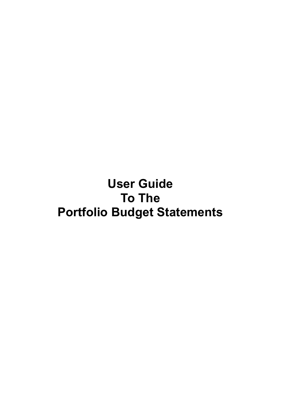**User Guide To The Portfolio Budget Statements**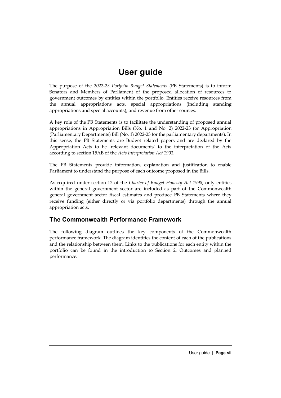## **User guide**

The purpose of the *2022-23 Portfolio Budget Statements* (PB Statements) is to inform Senators and Members of Parliament of the proposed allocation of resources to government outcomes by entities within the portfolio. Entities receive resources from the annual appropriations acts, special appropriations (including standing appropriations and special accounts), and revenue from other sources.

A key role of the PB Statements is to facilitate the understanding of proposed annual appropriations in Appropriation Bills (No. 1 and No. 2) 2022-23 (or Appropriation (Parliamentary Departments) Bill *(*No. 1) 2022-23 for the parliamentary departments). In this sense, the PB Statements are Budget related papers and are declared by the Appropriation Acts to be 'relevant documents' to the interpretation of the Acts according to section 15AB of the *Acts Interpretation Act 1901*.

The PB Statements provide information, explanation and justification to enable Parliament to understand the purpose of each outcome proposed in the Bills.

As required under section 12 of the *Charter of Budget Honesty Act 1998*, only entities within the general government sector are included as part of the Commonwealth general government sector fiscal estimates and produce PB Statements where they receive funding (either directly or via portfolio departments) through the annual appropriation acts.

## **The Commonwealth Performance Framework**

The following diagram outlines the key components of the Commonwealth performance framework. The diagram identifies the content of each of the publications and the relationship between them. Links to the publications for each entity within the portfolio can be found in the introduction to Section 2: Outcomes and planned performance.